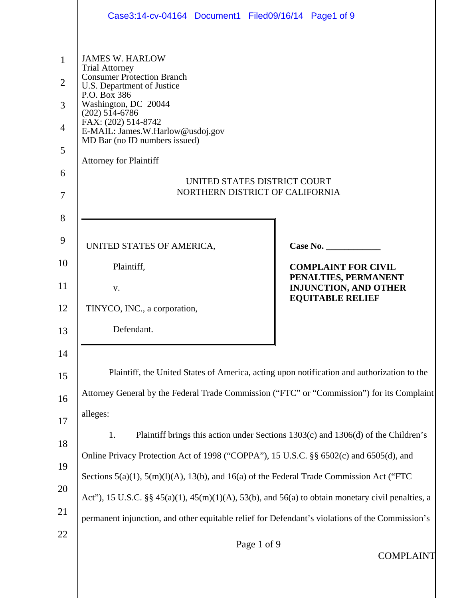|                                                                           | Case3:14-cv-04164 Document1 Filed09/16/14 Page1 of 9                                                                                                                                                                                                                                                                                                                           |                                                                                   |  |  |  |
|---------------------------------------------------------------------------|--------------------------------------------------------------------------------------------------------------------------------------------------------------------------------------------------------------------------------------------------------------------------------------------------------------------------------------------------------------------------------|-----------------------------------------------------------------------------------|--|--|--|
| $\mathbf{1}$<br>$\overline{2}$<br>3<br>$\overline{4}$<br>5<br>6<br>7<br>8 | <b>JAMES W. HARLOW</b><br><b>Trial Attorney</b><br><b>Consumer Protection Branch</b><br>U.S. Department of Justice<br>P.O. Box 386<br>Washington, DC 20044<br>$(202) 514-6786$<br>FAX: (202) 514-8742<br>E-MAIL: James.W.Harlow@usdoj.gov<br>MD Bar (no ID numbers issued)<br><b>Attorney for Plaintiff</b><br>UNITED STATES DISTRICT COURT<br>NORTHERN DISTRICT OF CALIFORNIA |                                                                                   |  |  |  |
| 9                                                                         |                                                                                                                                                                                                                                                                                                                                                                                |                                                                                   |  |  |  |
| 10                                                                        | UNITED STATES OF AMERICA,<br>Plaintiff,                                                                                                                                                                                                                                                                                                                                        | Case No.<br><b>COMPLAINT FOR CIVIL</b>                                            |  |  |  |
| 11                                                                        | V.                                                                                                                                                                                                                                                                                                                                                                             | PENALTIES, PERMANENT<br><b>INJUNCTION, AND OTHER</b>                              |  |  |  |
| 12                                                                        | TINYCO, INC., a corporation,                                                                                                                                                                                                                                                                                                                                                   | <b>EQUITABLE RELIEF</b>                                                           |  |  |  |
| 13                                                                        | Defendant.                                                                                                                                                                                                                                                                                                                                                                     |                                                                                   |  |  |  |
| 14                                                                        |                                                                                                                                                                                                                                                                                                                                                                                |                                                                                   |  |  |  |
| 15                                                                        | Plaintiff, the United States of America, acting upon notification and authorization to the                                                                                                                                                                                                                                                                                     |                                                                                   |  |  |  |
| 16                                                                        | Attorney General by the Federal Trade Commission ("FTC" or "Commission") for its Complaint                                                                                                                                                                                                                                                                                     |                                                                                   |  |  |  |
| 17                                                                        | alleges:                                                                                                                                                                                                                                                                                                                                                                       |                                                                                   |  |  |  |
| 18                                                                        | 1.                                                                                                                                                                                                                                                                                                                                                                             | Plaintiff brings this action under Sections 1303(c) and 1306(d) of the Children's |  |  |  |
| 19                                                                        | Online Privacy Protection Act of 1998 ("COPPA"), 15 U.S.C. §§ 6502(c) and 6505(d), and                                                                                                                                                                                                                                                                                         |                                                                                   |  |  |  |
| 20                                                                        | Sections $5(a)(1)$ , $5(m)(1)(A)$ , $13(b)$ , and $16(a)$ of the Federal Trade Commission Act ("FTC                                                                                                                                                                                                                                                                            |                                                                                   |  |  |  |
|                                                                           | Act"), 15 U.S.C. §§ $45(a)(1)$ , $45(m)(1)(A)$ , $53(b)$ , and $56(a)$ to obtain monetary civil penalties, a                                                                                                                                                                                                                                                                   |                                                                                   |  |  |  |
| 21                                                                        | permanent injunction, and other equitable relief for Defendant's violations of the Commission's                                                                                                                                                                                                                                                                                |                                                                                   |  |  |  |
| 22                                                                        | Page 1 of 9<br><b>COMPLAINT</b>                                                                                                                                                                                                                                                                                                                                                |                                                                                   |  |  |  |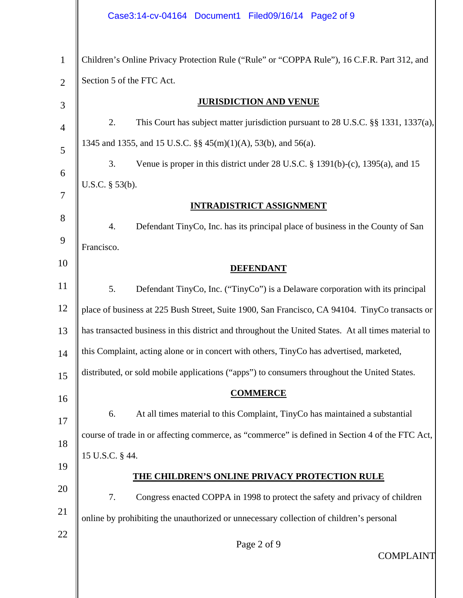|                | Case3:14-cv-04164 Document1 Filed09/16/14 Page2 of 9                                                |
|----------------|-----------------------------------------------------------------------------------------------------|
| $\mathbf{1}$   | Children's Online Privacy Protection Rule ("Rule" or "COPPA Rule"), 16 C.F.R. Part 312, and         |
| $\overline{2}$ | Section 5 of the FTC Act.                                                                           |
| 3              | <b>JURISDICTION AND VENUE</b>                                                                       |
| $\overline{4}$ | 2.<br>This Court has subject matter jurisdiction pursuant to 28 U.S.C. §§ 1331, 1337(a),            |
| 5              | 1345 and 1355, and 15 U.S.C. §§ 45(m)(1)(A), 53(b), and 56(a).                                      |
| 6              | 3.<br>Venue is proper in this district under $28$ U.S.C. § 1391(b)-(c), 1395(a), and 15             |
|                | U.S.C. $\S$ 53(b).                                                                                  |
| 7              | <b>INTRADISTRICT ASSIGNMENT</b>                                                                     |
| 8              | 4.<br>Defendant TinyCo, Inc. has its principal place of business in the County of San               |
| 9              | Francisco.                                                                                          |
| 10             | <b>DEFENDANT</b>                                                                                    |
| 11             | Defendant TinyCo, Inc. ("TinyCo") is a Delaware corporation with its principal<br>5.                |
| 12             | place of business at 225 Bush Street, Suite 1900, San Francisco, CA 94104. TinyCo transacts or      |
| 13             | has transacted business in this district and throughout the United States. At all times material to |
| 14             | this Complaint, acting alone or in concert with others, TinyCo has advertised, marketed,            |
| 15             | distributed, or sold mobile applications ("apps") to consumers throughout the United States.        |
| 16             | <b>COMMERCE</b>                                                                                     |
| 17             | At all times material to this Complaint, TinyCo has maintained a substantial<br>6.                  |
| 18             | course of trade in or affecting commerce, as "commerce" is defined in Section 4 of the FTC Act,     |
|                | 15 U.S.C. § 44.                                                                                     |
| 19             | THE CHILDREN'S ONLINE PRIVACY PROTECTION RULE                                                       |
| 20             | 7.<br>Congress enacted COPPA in 1998 to protect the safety and privacy of children                  |
| 21             | online by prohibiting the unauthorized or unnecessary collection of children's personal             |
| 22             | Page 2 of 9<br><b>COMPLAINT</b>                                                                     |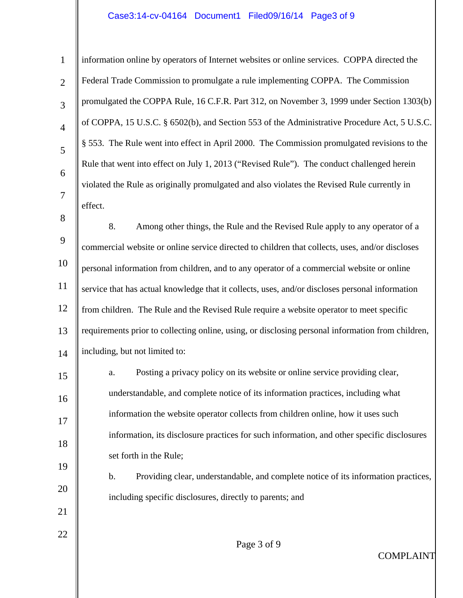# Case3:14-cv-04164 Document1 Filed09/16/14 Page3 of 9

 $\mathbb{I}$ 

| $\mathbf{1}$   | information online by operators of Internet websites or online services. COPPA directed the       |  |  |  |
|----------------|---------------------------------------------------------------------------------------------------|--|--|--|
| $\overline{2}$ | Federal Trade Commission to promulgate a rule implementing COPPA. The Commission                  |  |  |  |
| 3              | promulgated the COPPA Rule, 16 C.F.R. Part 312, on November 3, 1999 under Section 1303(b)         |  |  |  |
| $\overline{4}$ | of COPPA, 15 U.S.C. § 6502(b), and Section 553 of the Administrative Procedure Act, 5 U.S.C.      |  |  |  |
| 5              | § 553. The Rule went into effect in April 2000. The Commission promulgated revisions to the       |  |  |  |
| 6              | Rule that went into effect on July 1, 2013 ("Revised Rule"). The conduct challenged herein        |  |  |  |
| $\overline{7}$ | violated the Rule as originally promulgated and also violates the Revised Rule currently in       |  |  |  |
|                | effect.                                                                                           |  |  |  |
| 8              | 8.<br>Among other things, the Rule and the Revised Rule apply to any operator of a                |  |  |  |
| 9              | commercial website or online service directed to children that collects, uses, and/or discloses   |  |  |  |
| 10             | personal information from children, and to any operator of a commercial website or online         |  |  |  |
| 11             | service that has actual knowledge that it collects, uses, and/or discloses personal information   |  |  |  |
| 12             | from children. The Rule and the Revised Rule require a website operator to meet specific          |  |  |  |
| 13             | requirements prior to collecting online, using, or disclosing personal information from children, |  |  |  |
| 14             | including, but not limited to:                                                                    |  |  |  |
| 15             | Posting a privacy policy on its website or online service providing clear,<br>a.                  |  |  |  |
| 16             | understandable, and complete notice of its information practices, including what                  |  |  |  |
| 17             | information the website operator collects from children online, how it uses such                  |  |  |  |
| 18             | information, its disclosure practices for such information, and other specific disclosures        |  |  |  |
| 19             | set forth in the Rule;                                                                            |  |  |  |
|                | b.<br>Providing clear, understandable, and complete notice of its information practices,          |  |  |  |
| 20             | including specific disclosures, directly to parents; and                                          |  |  |  |
| 21             |                                                                                                   |  |  |  |
| 22             | Page 3 of 9                                                                                       |  |  |  |
|                | <b>COMPLAINT</b>                                                                                  |  |  |  |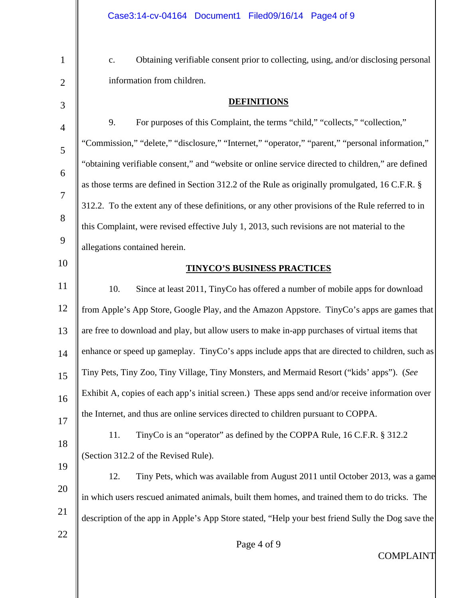c. Obtaining verifiable consent prior to collecting, using, and/or disclosing personal information from children.

### **DEFINITIONS**

4 5 6 7 8 9 10 11 12 13 14 15 16 17 9. For purposes of this Complaint, the terms "child," "collects," "collection," "Commission," "delete," "disclosure," "Internet," "operator," "parent," "personal information," "obtaining verifiable consent," and "website or online service directed to children," are defined as those terms are defined in Section 312.2 of the Rule as originally promulgated, 16 C.F.R. § 312.2. To the extent any of these definitions, or any other provisions of the Rule referred to in this Complaint, were revised effective July 1, 2013, such revisions are not material to the allegations contained herein. **TINYCO'S BUSINESS PRACTICES**  10. Since at least 2011, TinyCo has offered a number of mobile apps for download from Apple's App Store, Google Play, and the Amazon Appstore. TinyCo's apps are games that are free to download and play, but allow users to make in-app purchases of virtual items that enhance or speed up gameplay. TinyCo's apps include apps that are directed to children, such as Tiny Pets, Tiny Zoo, Tiny Village, Tiny Monsters, and Mermaid Resort ("kids' apps").(*See*  Exhibit A, copies of each app's initial screen.)These apps send and/or receive information over the Internet, and thus are online services directed to children pursuant to COPPA. 11. TinyCo is an "operator" as defined by the COPPA Rule, 16 C.F.R. § 312.2

19 (Section 312.2 of the Revised Rule).

1

2

3

18

22

20 21 12. Tiny Pets, which was available from August 2011 until October 2013, was a game in which users rescued animated animals, built them homes, and trained them to do tricks. The description of the app in Apple's App Store stated, "Help your best friend Sully the Dog save the

Page 4 of 9

COMPLAINT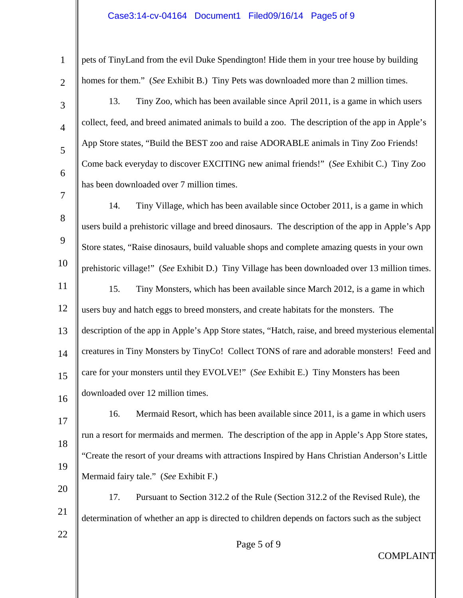# Case3:14-cv-04164 Document1 Filed09/16/14 Page5 of 9

| $\mathbf{1}$   | pets of TinyLand from the evil Duke Spendington! Hide them in your tree house by building         |  |  |  |
|----------------|---------------------------------------------------------------------------------------------------|--|--|--|
| $\overline{2}$ | homes for them." (See Exhibit B.) Tiny Pets was downloaded more than 2 million times.             |  |  |  |
| 3              | Tiny Zoo, which has been available since April 2011, is a game in which users<br>13.              |  |  |  |
| $\overline{4}$ | collect, feed, and breed animated animals to build a zoo. The description of the app in Apple's   |  |  |  |
| 5              | App Store states, "Build the BEST zoo and raise ADORABLE animals in Tiny Zoo Friends!             |  |  |  |
| 6              | Come back everyday to discover EXCITING new animal friends!" (See Exhibit C.) Tiny Zoo            |  |  |  |
| 7              | has been downloaded over 7 million times.                                                         |  |  |  |
|                | Tiny Village, which has been available since October 2011, is a game in which<br>14.              |  |  |  |
| 8              | users build a prehistoric village and breed dinosaurs. The description of the app in Apple's App  |  |  |  |
| 9              | Store states, "Raise dinosaurs, build valuable shops and complete amazing quests in your own      |  |  |  |
| 10             | prehistoric village!" (See Exhibit D.) Tiny Village has been downloaded over 13 million times.    |  |  |  |
| 11             | 15.<br>Tiny Monsters, which has been available since March 2012, is a game in which               |  |  |  |
| 12             | users buy and hatch eggs to breed monsters, and create habitats for the monsters. The             |  |  |  |
| 13             | description of the app in Apple's App Store states, "Hatch, raise, and breed mysterious elemental |  |  |  |
| 14             | creatures in Tiny Monsters by TinyCo! Collect TONS of rare and adorable monsters! Feed and        |  |  |  |
| 15             | care for your monsters until they EVOLVE!" (See Exhibit E.) Tiny Monsters has been                |  |  |  |
| 16             | downloaded over 12 million times.                                                                 |  |  |  |
| 17             | Mermaid Resort, which has been available since 2011, is a game in which users<br>16.              |  |  |  |
| 18             | run a resort for mermaids and mermen. The description of the app in Apple's App Store states,     |  |  |  |
|                | "Create the resort of your dreams with attractions Inspired by Hans Christian Anderson's Little   |  |  |  |
| 19             | Mermaid fairy tale." (See Exhibit F.)                                                             |  |  |  |
| 20             | 17.<br>Pursuant to Section 312.2 of the Rule (Section 312.2 of the Revised Rule), the             |  |  |  |
| 21             | determination of whether an app is directed to children depends on factors such as the subject    |  |  |  |
| 22             | Page 5 of 9                                                                                       |  |  |  |
|                | <b>COMPLAINT</b>                                                                                  |  |  |  |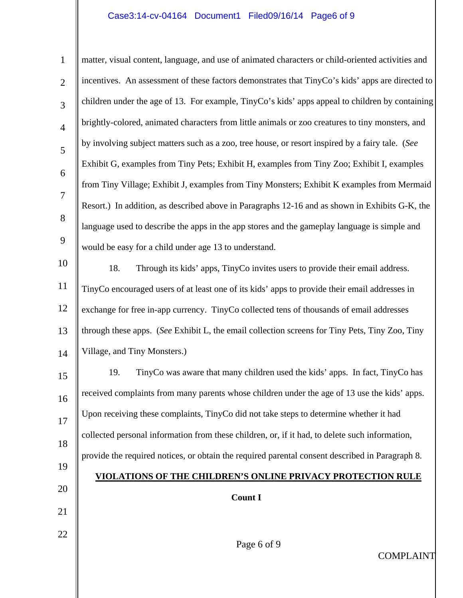## Case3:14-cv-04164 Document1 Filed09/16/14 Page6 of 9

1 2 3 4 5 6 7 8 9 10 matter, visual content, language, and use of animated characters or child-oriented activities and incentives. An assessment of these factors demonstrates that TinyCo's kids' apps are directed to children under the age of 13. For example, TinyCo's kids' apps appeal to children by containing brightly-colored, animated characters from little animals or zoo creatures to tiny monsters, and by involving subject matters such as a zoo, tree house, or resort inspired by a fairy tale. (*See*  Exhibit G, examples from Tiny Pets; Exhibit H, examples from Tiny Zoo; Exhibit I, examples from Tiny Village; Exhibit J, examples from Tiny Monsters; Exhibit K examples from Mermaid Resort.) In addition, as described above in Paragraphs 12-16 and as shown in Exhibits G-K, the language used to describe the apps in the app stores and the gameplay language is simple and would be easy for a child under age 13 to understand.

11 12 13 14 18. Through its kids' apps, TinyCo invites users to provide their email address. TinyCo encouraged users of at least one of its kids' apps to provide their email addresses in exchange for free in-app currency. TinyCo collected tens of thousands of email addresses through these apps. (*See* Exhibit L, the email collection screens for Tiny Pets, Tiny Zoo, Tiny Village, and Tiny Monsters.)

15 16 17 18 19 20 21 22 19. TinyCo was aware that many children used the kids' apps. In fact, TinyCo has received complaints from many parents whose children under the age of 13 use the kids' apps. Upon receiving these complaints, TinyCo did not take steps to determine whether it had collected personal information from these children, or, if it had, to delete such information, provide the required notices, or obtain the required parental consent described in Paragraph 8. **VIOLATIONS OF THE CHILDREN'S ONLINE PRIVACY PROTECTION RULE Count I**

Page 6 of 9

COMPLAINT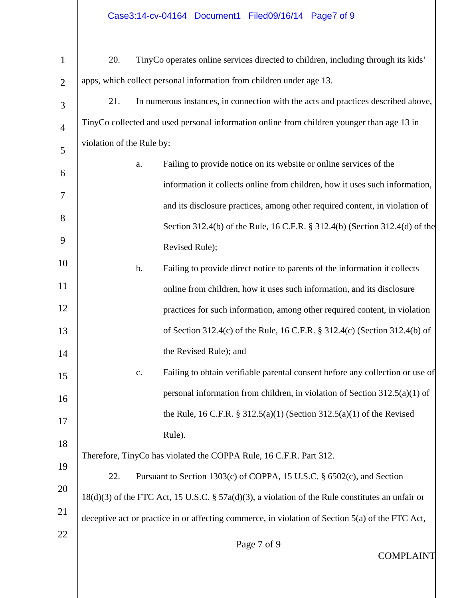$\mathbb{I}$ 

║

| $\mathbf{1}$   | 20.                                                                                                |    | TinyCo operates online services directed to children, including through its kids' |  |  |
|----------------|----------------------------------------------------------------------------------------------------|----|-----------------------------------------------------------------------------------|--|--|
| $\overline{2}$ | apps, which collect personal information from children under age 13.                               |    |                                                                                   |  |  |
| 3              | In numerous instances, in connection with the acts and practices described above,<br>21.           |    |                                                                                   |  |  |
| $\overline{4}$ | TinyCo collected and used personal information online from children younger than age 13 in         |    |                                                                                   |  |  |
| 5              | violation of the Rule by:                                                                          |    |                                                                                   |  |  |
| 6              |                                                                                                    | a. | Failing to provide notice on its website or online services of the                |  |  |
| 7              |                                                                                                    |    | information it collects online from children, how it uses such information,       |  |  |
| 8              |                                                                                                    |    | and its disclosure practices, among other required content, in violation of       |  |  |
|                |                                                                                                    |    | Section 312.4(b) of the Rule, 16 C.F.R. § 312.4(b) (Section 312.4(d) of the       |  |  |
| 9              |                                                                                                    |    | Revised Rule);                                                                    |  |  |
| 10             |                                                                                                    | b. | Failing to provide direct notice to parents of the information it collects        |  |  |
| 11             |                                                                                                    |    | online from children, how it uses such information, and its disclosure            |  |  |
| 12             |                                                                                                    |    | practices for such information, among other required content, in violation        |  |  |
| 13             |                                                                                                    |    | of Section 312.4(c) of the Rule, 16 C.F.R. § 312.4(c) (Section 312.4(b) of        |  |  |
| 14             |                                                                                                    |    | the Revised Rule); and                                                            |  |  |
| 15             |                                                                                                    | c. | Failing to obtain verifiable parental consent before any collection or use of     |  |  |
| 16             |                                                                                                    |    | personal information from children, in violation of Section $312.5(a)(1)$ of      |  |  |
| 17             |                                                                                                    |    | the Rule, 16 C.F.R. § 312.5(a)(1) (Section 312.5(a)(1) of the Revised             |  |  |
| 18             |                                                                                                    |    | Rule).                                                                            |  |  |
| 19             | Therefore, TinyCo has violated the COPPA Rule, 16 C.F.R. Part 312.                                 |    |                                                                                   |  |  |
| 20             | 22.<br>Pursuant to Section 1303(c) of COPPA, 15 U.S.C. § 6502(c), and Section                      |    |                                                                                   |  |  |
| 21             | $18(d)(3)$ of the FTC Act, 15 U.S.C. § 57a(d)(3), a violation of the Rule constitutes an unfair or |    |                                                                                   |  |  |
|                | deceptive act or practice in or affecting commerce, in violation of Section 5(a) of the FTC Act,   |    |                                                                                   |  |  |
| 22             |                                                                                                    |    | Page 7 of 9<br><b>COMPLAINT</b>                                                   |  |  |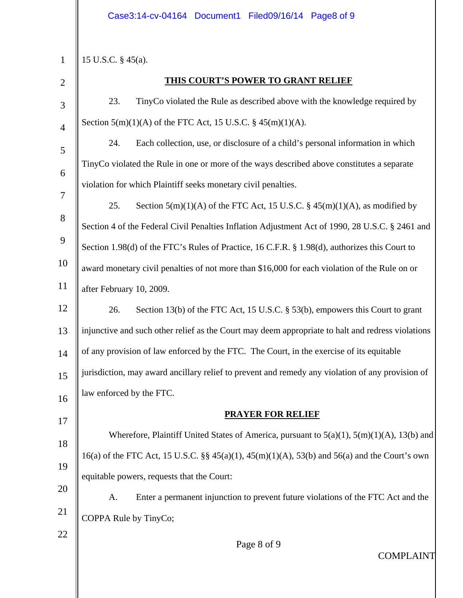15 U.S.C. § 45(a).

2

3

4

5

6

7

22

1

### **THIS COURT'S POWER TO GRANT RELIEF**

23. TinyCo violated the Rule as described above with the knowledge required by Section  $5(m)(1)(A)$  of the FTC Act, 15 U.S.C. §  $45(m)(1)(A)$ .

24. Each collection, use, or disclosure of a child's personal information in which TinyCo violated the Rule in one or more of the ways described above constitutes a separate violation for which Plaintiff seeks monetary civil penalties.

8 9 10 11 25. Section  $5(m)(1)(A)$  of the FTC Act, 15 U.S.C. §  $45(m)(1)(A)$ , as modified by Section 4 of the Federal Civil Penalties Inflation Adjustment Act of 1990, 28 U.S.C. § 2461 and Section 1.98(d) of the FTC's Rules of Practice, 16 C.F.R. § 1.98(d), authorizes this Court to award monetary civil penalties of not more than \$16,000 for each violation of the Rule on or after February 10, 2009.

12 13 14 15 16 26. Section 13(b) of the FTC Act, 15 U.S.C. § 53(b), empowers this Court to grant injunctive and such other relief as the Court may deem appropriate to halt and redress violations of any provision of law enforced by the FTC. The Court, in the exercise of its equitable jurisdiction, may award ancillary relief to prevent and remedy any violation of any provision of law enforced by the FTC.

17 18 19 20 **PRAYER FOR RELIEF** Wherefore, Plaintiff United States of America, pursuant to  $5(a)(1)$ ,  $5(m)(1)(A)$ ,  $13(b)$  and 16(a) of the FTC Act, 15 U.S.C.  $\S$  45(a)(1), 45(m)(1)(A), 53(b) and 56(a) and the Court's own equitable powers, requests that the Court:

21 A. Enter a permanent injunction to prevent future violations of the FTC Act and the COPPA Rule by TinyCo;

Page 8 of 9

COMPLAINT